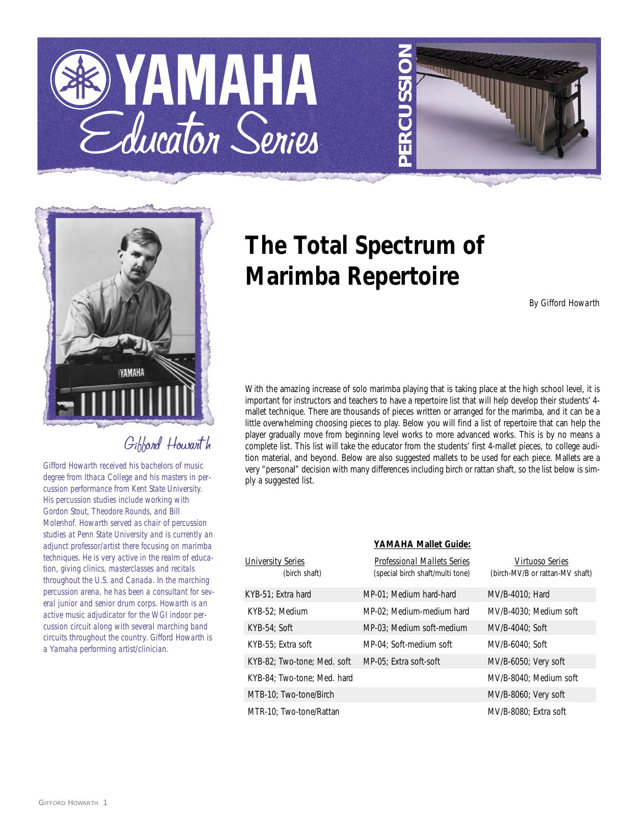





# Gibbond Howarth

*Gifford Howarth received his bachelors of music degree from Ithaca College and his masters in percussion performance from Kent State University. His percussion studies include working with Gordon Stout, Theodore Rounds, and Bill Molenhof. Howarth served as chair of percussion studies at Penn State University and is currently an adjunct professor/artist there focusing on marimba techniques. He is very active in the realm of education, giving clinics, masterclasses and recitals throughout the U.S. and Canada. In the marching percussion arena, he has been a consultant for several junior and senior drum corps. Howarth is an active music adjudicator for the WGI indoor percussion circuit along with several marching band circuits throughout the country. Gifford Howarth is a Yamaha performing artist/clinician.*

# **The Total Spectrum of Marimba Repertoire**

*By Gifford Howarth*

With the amazing increase of solo marimba playing that is taking place at the high school level, it is important for instructors and teachers to have a repertoire list that will help develop their students' 4 mallet technique. There are thousands of pieces written or arranged for the marimba, and it can be a little overwhelming choosing pieces to play. Below you will find a list of repertoire that can help the player gradually move from beginning level works to more advanced works. This is by no means a complete list. This list will take the educator from the students' first 4-mallet pieces, to college audition material, and beyond. Below are also suggested mallets to be used for each piece. Mallets are a very "personal" decision with many differences including birch or rattan shaft, so the list below is simply a suggested list.

| YAMAHA Mallet Guide:        |                                    |                                 |  |  |
|-----------------------------|------------------------------------|---------------------------------|--|--|
| University Series           | <b>Professional Mallets Series</b> | Virtuoso Series                 |  |  |
| (birch shaft)               | (special birch shaft/multi tone)   | (birch-MV/B or rattan-MV shaft) |  |  |
| KYB-51; Extra hard          | MP-01: Medium hard-hard            | MV/B-4010: Hard                 |  |  |
| KYB-52: Medium              | MP-02: Medium-medium hard          | MV/B-4030: Medium soft          |  |  |
| $KYB-54$ ; Soft             | MP-03; Medium soft-medium          | MV/B-4040: Soft                 |  |  |
| KYB-55: Extra soft          | MP-04: Soft-medium soft            | MV/B-6040: Soft                 |  |  |
| KYB-82; Two-tone; Med. soft | MP-05: Extra soft-soft             | MV/B-6050; Very soft            |  |  |
| KYB-84: Two-tone: Med. hard |                                    | MV/B-8040: Medium soft          |  |  |
| MTB-10; Two-tone/Birch      |                                    | MV/B-8060; Very soft            |  |  |
| MTR-10: Two-tone/Rattan     |                                    | MV/B-8080: Extra soft           |  |  |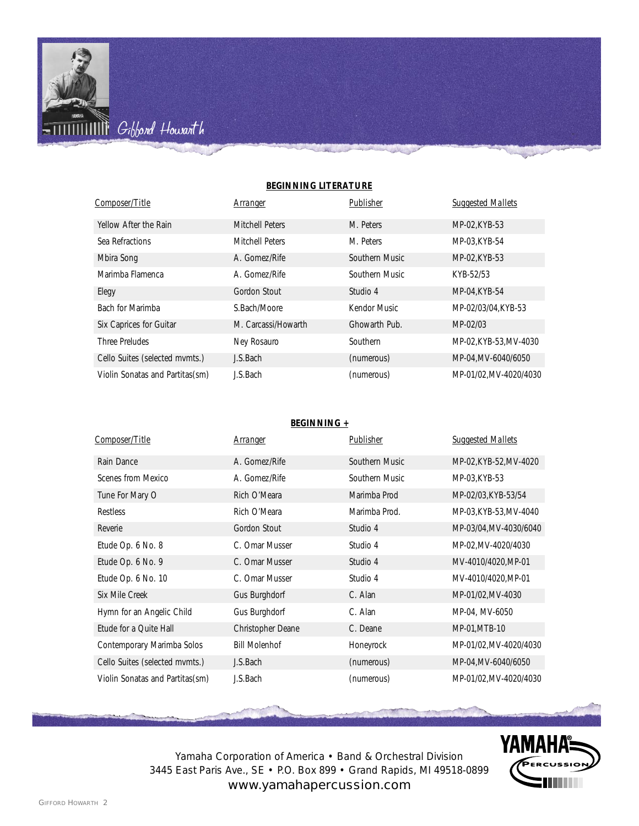

**M** Gibbond Howarth

#### **BEGINNING LITERATURE**

| Composer/Title                  | Arranger            | Publisher      | <b>Suggested Mallets</b> |
|---------------------------------|---------------------|----------------|--------------------------|
| Yellow After the Rain           | Mitchell Peters     | M. Peters      | MP-02, KYB-53            |
| Sea Refractions                 | Mitchell Peters     | M. Peters      | MP-03.KYB-54             |
| Mbira Song                      | A. Gomez/Rife       | Southern Music | MP-02, KYB-53            |
| Marimba Flamenca                | A. Gomez/Rife       | Southern Music | KYB-52/53                |
| Elegy                           | Gordon Stout        | Studio 4       | MP-04.KYB-54             |
| Bach for Marimba                | S.Bach/Moore        | Kendor Music   | MP-02/03/04, KYB-53      |
| Six Caprices for Guitar         | M. Carcassi/Howarth | Ghowarth Pub.  | MP-02/03                 |
| Three Preludes                  | Ney Rosauro         | Southern       | MP-02.KYB-53.MV-4030     |
| Cello Suites (selected mymts.)  | J.S.Bach            | (numerous)     | MP-04, MV-6040/6050      |
| Violin Sonatas and Partitas(sm) | J.S.Bach            | (numerous)     | MP-01/02.MV-4020/4030    |

#### **BEGINNING +**

| Composer/Title                  | <u>Arranger</u>      | Publisher      | <b>Suggested Mallets</b> |
|---------------------------------|----------------------|----------------|--------------------------|
| Rain Dance                      | A. Gomez/Rife        | Southern Music | MP-02, KYB-52, MV-4020   |
| Scenes from Mexico              | A. Gomez/Rife        | Southern Music | MP-03, KYB-53            |
| Tune For Mary O                 | Rich O'Meara         | Marimba Prod   | MP-02/03, KYB-53/54      |
| <b>Restless</b>                 | Rich O'Meara         | Marimba Prod.  | MP-03, KYB-53, MV-4040   |
| Reverie                         | Gordon Stout         | Studio 4       | MP-03/04, MV-4030/6040   |
| Etude Op. 6 No. 8               | C. Omar Musser       | Studio 4       | MP-02, MV-4020/4030      |
| Etude Op. 6 No. 9               | C. Omar Musser       | Studio 4       | MV-4010/4020, MP-01      |
| Etude Op. 6 No. 10              | C. Omar Musser       | Studio 4       | MV-4010/4020, MP-01      |
| Six Mile Creek                  | Gus Burghdorf        | C. Alan        | MP-01/02, MV-4030        |
| Hymn for an Angelic Child       | Gus Burghdorf        | C. Alan        | MP-04, MV-6050           |
| Etude for a Quite Hall          | Christopher Deane    | C. Deane       | MP-01, MTB-10            |
| Contemporary Marimba Solos      | <b>Bill Molenhof</b> | Honeyrock      | MP-01/02, MV-4020/4030   |
| Cello Suites (selected mymts.)  | J.S.Bach             | (numerous)     | MP-04, MV-6040/6050      |
| Violin Sonatas and Partitas(sm) | J.S.Bach             | (numerous)     | MP-01/02, MV-4020/4030   |



Yamaha Corporation of America • Band & Orchestral Division 3445 East Paris Ave., SE • P.O. Box 899 • Grand Rapids, MI 49518-0899 www.yamahapercussion.com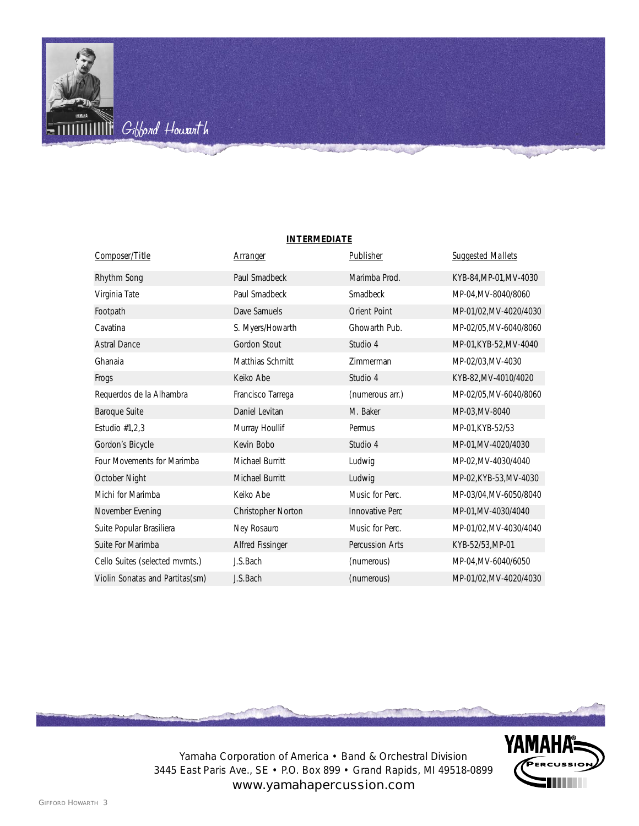

| <b>INTERMEDIATE</b> |  |
|---------------------|--|
|                     |  |

| Composer/Title                  | Arranger           | Publisher              | <b>Suggested Mallets</b> |
|---------------------------------|--------------------|------------------------|--------------------------|
| Rhythm Song                     | Paul Smadbeck      | Marimba Prod.          | KYB-84, MP-01, MV-4030   |
| Virginia Tate                   | Paul Smadbeck      | Smadbeck               | MP-04, MV-8040/8060      |
| Footpath                        | Dave Samuels       | <b>Orient Point</b>    | MP-01/02, MV-4020/4030   |
| Cavatina                        | S. Myers/Howarth   | Ghowarth Pub.          | MP-02/05, MV-6040/8060   |
| <b>Astral Dance</b>             | Gordon Stout       | Studio 4               | MP-01, KYB-52, MV-4040   |
| Ghanaia                         | Matthias Schmitt   | Zimmerman              | MP-02/03, MV-4030        |
| Frogs                           | Keiko Abe          | Studio 4               | KYB-82, MV-4010/4020     |
| Requerdos de la Alhambra        | Francisco Tarrega  | (numerous arr.)        | MP-02/05, MV-6040/8060   |
| Baroque Suite                   | Daniel Levitan     | M. Baker               | MP-03, MV-8040           |
| Estudio $#1,2,3$                | Murray Houllif     | Permus                 | MP-01, KYB-52/53         |
| Gordon's Bicycle                | Kevin Bobo         | Studio 4               | MP-01, MV-4020/4030      |
| Four Movements for Marimba      | Michael Burritt    | Ludwig                 | MP-02, MV-4030/4040      |
| October Night                   | Michael Burritt    | Ludwig                 | MP-02, KYB-53, MV-4030   |
| Michi for Marimba               | Keiko Abe          | Music for Perc.        | MP-03/04, MV-6050/8040   |
| November Evening                | Christopher Norton | <b>Innovative Perc</b> | MP-01, MV-4030/4040      |
| Suite Popular Brasiliera        | Ney Rosauro        | Music for Perc.        | MP-01/02, MV-4030/4040   |
| Suite For Marimba               | Alfred Fissinger   | Percussion Arts        | KYB-52/53, MP-01         |
| Cello Suites (selected mvmts.)  | J.S.Bach           | (numerous)             | MP-04, MV-6040/6050      |
| Violin Sonatas and Partitas(sm) | J.S.Bach           | (numerous)             | MP-01/02, MV-4020/4030   |



**YAMAHA®** 

Yamaha Corporation of America • Band & Orchestral Division 3445 East Paris Ave., SE • P.O. Box 899 • Grand Rapids, MI 49518-0899 www.yamahapercussion.com